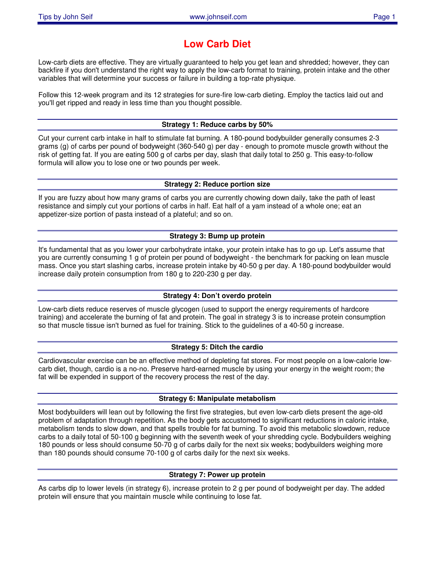# **Low Carb Diet**

Low-carb diets are effective. They are virtually guaranteed to help you get lean and shredded; however, they can backfire if you don't understand the right way to apply the low-carb format to training, protein intake and the other variables that will determine your success or failure in building a top-rate physique.

Follow this 12-week program and its 12 strategies for sure-fire low-carb dieting. Employ the tactics laid out and you'll get ripped and ready in less time than you thought possible.

## **Strategy 1: Reduce carbs by 50%**

Cut your current carb intake in half to stimulate fat burning. A 180-pound bodybuilder generally consumes 2-3 grams (g) of carbs per pound of bodyweight (360-540 g) per day - enough to promote muscle growth without the risk of getting fat. If you are eating 500 g of carbs per day, slash that daily total to 250 g. This easy-to-follow formula will allow you to lose one or two pounds per week.

### **Strategy 2: Reduce portion size**

If you are fuzzy about how many grams of carbs you are currently chowing down daily, take the path of least resistance and simply cut your portions of carbs in half. Eat half of a yam instead of a whole one; eat an appetizer-size portion of pasta instead of a plateful; and so on.

### **Strategy 3: Bump up protein**

It's fundamental that as you lower your carbohydrate intake, your protein intake has to go up. Let's assume that you are currently consuming 1 g of protein per pound of bodyweight - the benchmark for packing on lean muscle mass. Once you start slashing carbs, increase protein intake by 40-50 g per day. A 180-pound bodybuilder would increase daily protein consumption from 180 g to 220-230 g per day.

# **Strategy 4: Don't overdo protein**

Low-carb diets reduce reserves of muscle glycogen (used to support the energy requirements of hardcore training) and accelerate the burning of fat and protein. The goal in strategy 3 is to increase protein consumption so that muscle tissue isn't burned as fuel for training. Stick to the guidelines of a 40-50 g increase.

### **Strategy 5: Ditch the cardio**

Cardiovascular exercise can be an effective method of depleting fat stores. For most people on a low-calorie lowcarb diet, though, cardio is a no-no. Preserve hard-earned muscle by using your energy in the weight room; the fat will be expended in support of the recovery process the rest of the day.

#### **Strategy 6: Manipulate metabolism**

Most bodybuilders will lean out by following the first five strategies, but even low-carb diets present the age-old problem of adaptation through repetition. As the body gets accustomed to significant reductions in caloric intake, metabolism tends to slow down, and that spells trouble for fat burning. To avoid this metabolic slowdown, reduce carbs to a daily total of 50-100 g beginning with the seventh week of your shredding cycle. Bodybuilders weighing 180 pounds or less should consume 50-70 g of carbs daily for the next six weeks; bodybuilders weighing more than 180 pounds should consume 70-100 g of carbs daily for the next six weeks.

### **Strategy 7: Power up protein**

As carbs dip to lower levels (in strategy 6), increase protein to 2 g per pound of bodyweight per day. The added protein will ensure that you maintain muscle while continuing to lose fat.